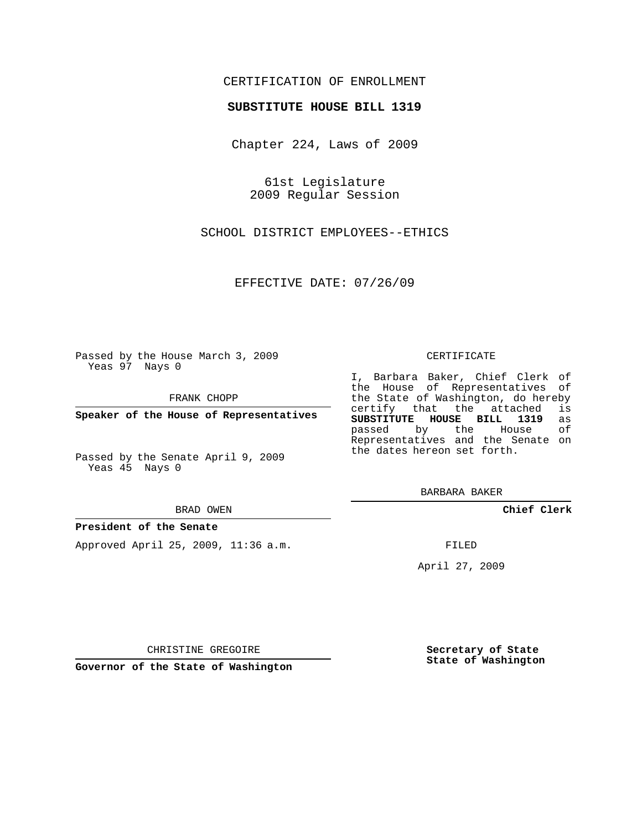## CERTIFICATION OF ENROLLMENT

### **SUBSTITUTE HOUSE BILL 1319**

Chapter 224, Laws of 2009

61st Legislature 2009 Regular Session

SCHOOL DISTRICT EMPLOYEES--ETHICS

EFFECTIVE DATE: 07/26/09

Passed by the House March 3, 2009 Yeas 97 Nays 0

FRANK CHOPP

**Speaker of the House of Representatives**

Passed by the Senate April 9, 2009 Yeas 45 Nays 0

BRAD OWEN

### **President of the Senate**

Approved April 25, 2009, 11:36 a.m.

#### CERTIFICATE

I, Barbara Baker, Chief Clerk of the House of Representatives of the State of Washington, do hereby<br>certify that the attached is certify that the attached **SUBSTITUTE HOUSE BILL 1319** as passed by the Representatives and the Senate on the dates hereon set forth.

BARBARA BAKER

**Chief Clerk**

FILED

April 27, 2009

**Secretary of State State of Washington**

CHRISTINE GREGOIRE

**Governor of the State of Washington**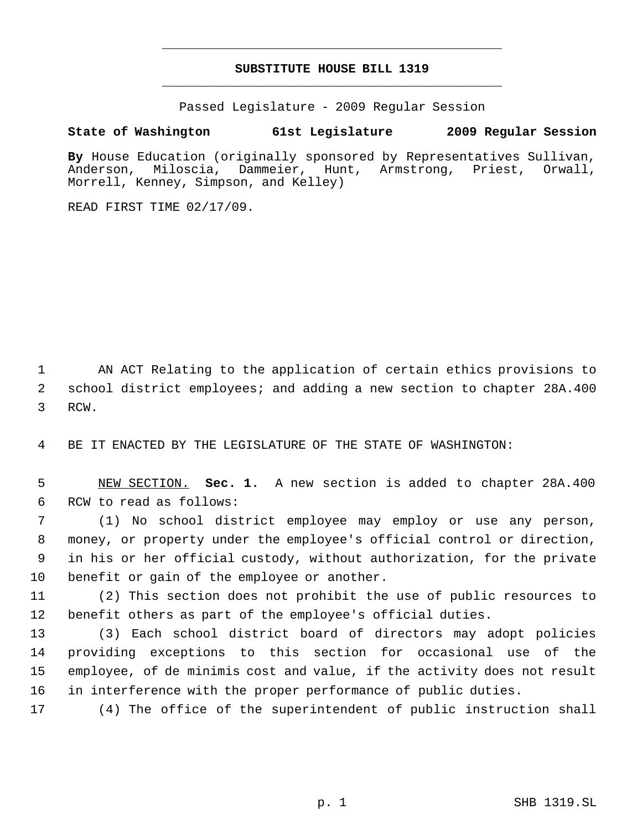# **SUBSTITUTE HOUSE BILL 1319** \_\_\_\_\_\_\_\_\_\_\_\_\_\_\_\_\_\_\_\_\_\_\_\_\_\_\_\_\_\_\_\_\_\_\_\_\_\_\_\_\_\_\_\_\_

\_\_\_\_\_\_\_\_\_\_\_\_\_\_\_\_\_\_\_\_\_\_\_\_\_\_\_\_\_\_\_\_\_\_\_\_\_\_\_\_\_\_\_\_\_

Passed Legislature - 2009 Regular Session

## **State of Washington 61st Legislature 2009 Regular Session**

By House Education (originally sponsored by Representatives Sullivan,<br>Anderson, Miloscia, Dammeier, Hunt, Armstrong, Priest, Orwall, Anderson, Miloscia, Dammeier, Hunt, Armstrong, Priest, Orwall, Morrell, Kenney, Simpson, and Kelley)

READ FIRST TIME 02/17/09.

 AN ACT Relating to the application of certain ethics provisions to school district employees; and adding a new section to chapter 28A.400 RCW.

BE IT ENACTED BY THE LEGISLATURE OF THE STATE OF WASHINGTON:

 NEW SECTION. **Sec. 1.** A new section is added to chapter 28A.400 RCW to read as follows:

 (1) No school district employee may employ or use any person, money, or property under the employee's official control or direction, in his or her official custody, without authorization, for the private benefit or gain of the employee or another.

 (2) This section does not prohibit the use of public resources to benefit others as part of the employee's official duties.

 (3) Each school district board of directors may adopt policies providing exceptions to this section for occasional use of the employee, of de minimis cost and value, if the activity does not result in interference with the proper performance of public duties.

(4) The office of the superintendent of public instruction shall